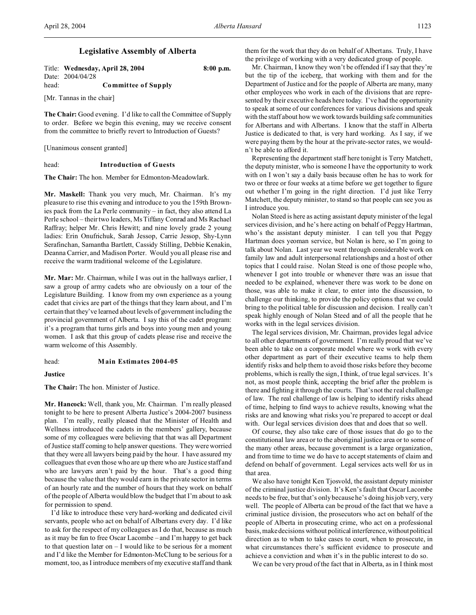Title: **Wednesday, April 28, 2004 8:00 p.m.** Date: 2004/04/28 head: **Committee of Supply**

[Mr. Tannas in the chair]

**The Chair:** Good evening. I'd like to call the Committee of Supply to order. Before we begin this evening, may we receive consent from the committee to briefly revert to Introduction of Guests?

[Unanimous consent granted]

### head: **Introduction of Guests**

**The Chair:** The hon. Member for Edmonton-Meadowlark.

**Mr. Maskell:** Thank you very much, Mr. Chairman. It's my pleasure to rise this evening and introduce to you the 159th Brownies pack from the La Perle community – in fact, they also attend La Perle school – their two leaders, Ms Tiffany Conrad and Ms Rachael Raffray; helper Mr. Chris Hewitt; and nine lovely grade 2 young ladies: Erin Onufrichuk, Sarah Jessop, Carrie Jessop, Shy-Lynn Serafinchan, Samantha Bartlett, Cassidy Stilling, Debbie Kenakin, Deanna Carrier, and Madison Porter. Would you all please rise and receive the warm traditional welcome of the Legislature.

**Mr. Mar:** Mr. Chairman, while I was out in the hallways earlier, I saw a group of army cadets who are obviously on a tour of the Legislature Building. I know from my own experience as a young cadet that civics are part of the things that they learn about, and I'm certain that they've learned about levels of government including the provincial government of Alberta. I say this of the cadet program: it's a program that turns girls and boys into young men and young women. I ask that this group of cadets please rise and receive the warm welcome of this Assembly.

#### head: **Main Estimates 2004-05**

**Justice**

**The Chair:** The hon. Minister of Justice.

**Mr. Hancock:** Well, thank you, Mr. Chairman. I'm really pleased tonight to be here to present Alberta Justice's 2004-2007 business plan. I'm really, really pleased that the Minister of Health and Wellness introduced the cadets in the members' gallery, because some of my colleagues were believing that that was all Department of Justice staff coming to help answer questions. They were worried that they were all lawyers being paid by the hour. I have assured my colleagues that even those who are up there who are Justice staff and who are lawyers aren't paid by the hour. That's a good thing because the value that they would earn in the private sector in terms of an hourly rate and the number of hours that they work on behalf of the people of Alberta would blow the budget that I'm about to ask for permission to spend.

I'd like to introduce these very hard-working and dedicated civil servants, people who act on behalf of Albertans every day. I'd like to ask for the respect of my colleagues as I do that, because as much as it may be fun to free Oscar Lacombe – and I'm happy to get back to that question later on – I would like to be serious for a moment and I'd like the Member for Edmonton-McClung to be serious for a moment, too, as I introduce members of my executive staff and thank them for the work that they do on behalf of Albertans. Truly, I have the privilege of working with a very dedicated group of people.

Mr. Chairman, I know they won't be offended if I say that they're but the tip of the iceberg, that working with them and for the Department of Justice and for the people of Alberta are many, many other employees who work in each of the divisions that are represented by their executive heads here today. I've had the opportunity to speak at some of our conferences for various divisions and speak with the staff about how we work towards building safe communities for Albertans and with Albertans. I know that the staff in Alberta Justice is dedicated to that, is very hard working. As I say, if we were paying them by the hour at the private-sector rates, we wouldn't be able to afford it.

Representing the department staff here tonight is Terry Matchett, the deputy minister, who is someone I have the opportunity to work with on I won't say a daily basis because often he has to work for two or three or four weeks at a time before we get together to figure out whether I'm going in the right direction. I'd just like Terry Matchett, the deputy minister, to stand so that people can see you as I introduce you.

Nolan Steed is here as acting assistant deputy minister of the legal services division, and he's here acting on behalf of Peggy Hartman, who's the assistant deputy minister. I can tell you that Peggy Hartman does yeoman service, but Nolan is here, so I'm going to talk about Nolan. Last year we went through considerable work on family law and adult interpersonal relationships and a host of other topics that I could raise. Nolan Steed is one of those people who, whenever I got into trouble or whenever there was an issue that needed to be explained, whenever there was work to be done on those, was able to make it clear, to enter into the discussion, to challenge our thinking, to provide the policy options that we could bring to the political table for discussion and decision. I really can't speak highly enough of Nolan Steed and of all the people that he works with in the legal services division.

The legal services division, Mr. Chairman, provides legal advice to all other departments of government. I'm really proud that we've been able to take on a corporate model where we work with every other department as part of their executive teams to help them identify risks and help them to avoid those risks before they become problems, which is really the sign, I think, of true legal services. It's not, as most people think, accepting the brief after the problem is there and fighting it through the courts. That's not the real challenge of law. The real challenge of law is helping to identify risks ahead of time, helping to find ways to achieve results, knowing what the risks are and knowing what risks you're prepared to accept or deal with. Our legal services division does that and does that so well.

Of course, they also take care of those issues that do go to the constitutional law area or to the aboriginal justice area or to some of the many other areas, because government is a large organization, and from time to time we do have to accept statements of claim and defend on behalf of government. Legal services acts well for us in that area.

We also have tonight Ken Tjosvold, the assistant deputy minister of the criminal justice division. It's Ken's fault that Oscar Lacombe needs to be free, but that's only because he's doing his job very, very well. The people of Alberta can be proud of the fact that we have a criminal justice division, the prosecutors who act on behalf of the people of Alberta in prosecuting crime, who act on a professional basis, make decisions without political interference, withoutpolitical direction as to when to take cases to court, when to prosecute, in what circumstances there's sufficient evidence to prosecute and achieve a conviction and when it's in the public interest to do so.

We can be very proud of the fact that in Alberta, as in I think most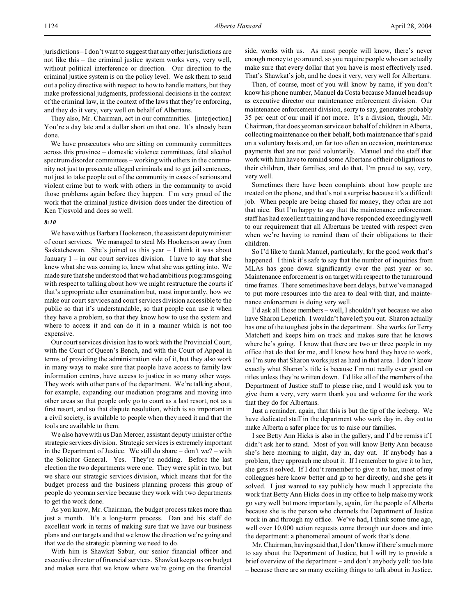jurisdictions – I don't want to suggest that any other jurisdictions are not like this – the criminal justice system works very, very well, without political interference or direction. Our direction to the criminal justice system is on the policy level. We ask them to send out a policy directive with respect to how to handle matters, but they make professional judgments, professional decisions in the context of the criminal law, in the context of the laws that they're enforcing, and they do it very, very well on behalf of Albertans.

They also, Mr. Chairman, act in our communities. [interjection] You're a day late and a dollar short on that one. It's already been done.

We have prosecutors who are sitting on community committees across this province – domestic violence committees, fetal alcohol spectrum disorder committees – working with others in the community not just to prosecute alleged criminals and to get jail sentences, not just to take people out of the community in cases of serious and violent crime but to work with others in the community to avoid those problems again before they happen. I'm very proud of the work that the criminal justice division does under the direction of Ken Tjosvold and does so well.

#### *8:10*

We have with us Barbara Hookenson, the assistant deputy minister of court services. We managed to steal Ms Hookenson away from Saskatchewan. She's joined us this year  $-1$  think it was about January  $1 - in$  our court services division. I have to say that she knew what she was coming to, knew what she was getting into. We made sure that she understood that we had ambitious programs going with respect to talking about how we might restructure the courts if that's appropriate after examination but, most importantly, how we make our court services and court services division accessible to the public so that it's understandable, so that people can use it when they have a problem, so that they know how to use the system and where to access it and can do it in a manner which is not too expensive.

Our court services division has to work with the Provincial Court, with the Court of Queen's Bench, and with the Court of Appeal in terms of providing the administration side of it, but they also work in many ways to make sure that people have access to family law information centres, have access to justice in so many other ways. They work with other parts of the department. We're talking about, for example, expanding our mediation programs and moving into other areas so that people only go to court as a last resort, not as a first resort, and so that dispute resolution, which is so important in a civil society, is available to people when they need it and that the tools are available to them.

We also have with us Dan Mercer, assistant deputy minister of the strategic services division. Strategic services is extremely important in the Department of Justice. We still do share – don't we? – with the Solicitor General. Yes. They're nodding. Before the last election the two departments were one. They were split in two, but we share our strategic services division, which means that for the budget process and the business planning process this group of people do yeoman service because they work with two departments to get the work done.

As you know, Mr. Chairman, the budget process takes more than just a month. It's a long-term process. Dan and his staff do excellent work in terms of making sure that we have our business plans and our targets and that we know the direction we're going and that we do the strategic planning we need to do.

With him is Shawkat Sabur, our senior financial officer and executive director of financial services. Shawkat keeps us on budget and makes sure that we know where we're going on the financial side, works with us. As most people will know, there's never enough money to go around, so you require people who can actually make sure that every dollar that you have is most effectively used. That's Shawkat's job, and he does it very, very well for Albertans.

Then, of course, most of you will know by name, if you don't know his phone number, Manuel da Costa because Manuel heads up as executive director our maintenance enforcement division. Our maintenance enforcement division, sorry to say, generates probably 35 per cent of our mail if not more. It's a division, though, Mr. Chairman, that does yeoman service on behalf of children in Alberta, collecting maintenance on their behalf, both maintenance that's paid on a voluntary basis and, on far too often an occasion, maintenance payments that are not paid voluntarily. Manuel and the staff that work with him have to remind some Albertans of their obligations to their children, their families, and do that, I'm proud to say, very, very well.

Sometimes there have been complaints about how people are treated on the phone, and that's not a surprise because it's a difficult job. When people are being chased for money, they often are not that nice. But I'm happy to say that the maintenance enforcement staff has had excellent training and have responded exceedingly well to our requirement that all Albertans be treated with respect even when we're having to remind them of their obligations to their children.

So I'd like to thank Manuel, particularly, for the good work that's happened. I think it's safe to say that the number of inquiries from MLAs has gone down significantly over the past year or so. Maintenance enforcement is on target with respect to the turnaround time frames. There sometimes have been delays, but we've managed to put more resources into the area to deal with that, and maintenance enforcement is doing very well.

I'd ask all those members – well, I shouldn't yet because we also have Sharon Lepetich. I wouldn't have left you out. Sharon actually has one of the toughest jobs in the department. She works for Terry Matchett and keeps him on track and makes sure that he knows where he's going. I know that there are two or three people in my office that do that for me, and I know how hard they have to work, so I'm sure that Sharon works just as hard in that area. I don't know exactly what Sharon's title is because I'm not really ever good on titles unless they're written down. I'd like all of the members of the Department of Justice staff to please rise, and I would ask you to give them a very, very warm thank you and welcome for the work that they do for Albertans.

Just a reminder, again, that this is but the tip of the iceberg. We have dedicated staff in the department who work day in, day out to make Alberta a safer place for us to raise our families.

I see Betty Ann Hicks is also in the gallery, and I'd be remiss if I didn't ask her to stand. Most of you will know Betty Ann because she's here morning to night, day in, day out. If anybody has a problem, they approach me about it. If I remember to give it to her, she gets it solved. If I don't remember to give it to her, most of my colleagues here know better and go to her directly, and she gets it solved. I just wanted to say publicly how much I appreciate the work that Betty Ann Hicks does in my office to help make my work go very well but more importantly, again, for the people of Alberta because she is the person who channels the Department of Justice work in and through my office. We've had, I think some time ago, well over 10,000 action requests come through our doors and into the department: a phenomenal amount of work that's done.

Mr. Chairman, having said that, I don't know if there's much more to say about the Department of Justice, but I will try to provide a brief overview of the department – and don't anybody yell: too late – because there are so many exciting things to talk about in Justice.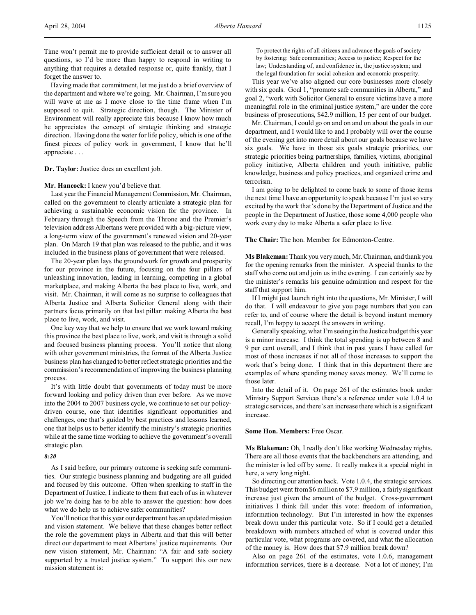Time won't permit me to provide sufficient detail or to answer all questions, so I'd be more than happy to respond in writing to anything that requires a detailed response or, quite frankly, that I forget the answer to.

Having made that commitment, let me just do a brief overview of the department and where we're going. Mr. Chairman, I'm sure you will wave at me as I move close to the time frame when I'm supposed to quit. Strategic direction, though. The Minister of Environment will really appreciate this because I know how much he appreciates the concept of strategic thinking and strategic direction. Having done the water for life policy, which is one of the finest pieces of policy work in government, I know that he'll appreciate . . .

### **Dr. Taylor:** Justice does an excellent job.

### **Mr. Hancock:** I knew you'd believe that.

Last year the Financial Management Commission, Mr. Chairman, called on the government to clearly articulate a strategic plan for achieving a sustainable economic vision for the province. In February through the Speech from the Throne and the Premier's television address Albertans were provided with a big-picture view, a long-term view of the government's renewed vision and 20-year plan. On March 19 that plan was released to the public, and it was included in the business plans of government that were released.

The 20-year plan lays the groundwork for growth and prosperity for our province in the future, focusing on the four pillars of unleashing innovation, leading in learning, competing in a global marketplace, and making Alberta the best place to live, work, and visit. Mr. Chairman, it will come as no surprise to colleagues that Alberta Justice and Alberta Solicitor General along with their partners focus primarily on that last pillar: making Alberta the best place to live, work, and visit.

One key way that we help to ensure that we work toward making this province the best place to live, work, and visit is through a solid and focused business planning process. You'll notice that along with other government ministries, the format of the Alberta Justice business plan has changed to better reflect strategic priorities and the commission's recommendation of improving the business planning process.

It's with little doubt that governments of today must be more forward looking and policy driven than ever before. As we move into the 2004 to 2007 business cycle, we continue to set our policydriven course, one that identifies significant opportunities and challenges, one that's guided by best practices and lessons learned, one that helps us to better identify the ministry's strategic priorities while at the same time working to achieve the government's overall strategic plan.

#### *8:20*

As I said before, our primary outcome is seeking safe communities. Our strategic business planning and budgeting are all guided and focused by this outcome. Often when speaking to staff in the Department of Justice, I indicate to them that each of us in whatever job we're doing has to be able to answer the question: how does what we do help us to achieve safer communities?

You'll notice that this year our department has an updated mission and vision statement. We believe that these changes better reflect the role the government plays in Alberta and that this will better direct our department to meet Albertans' justice requirements. Our new vision statement, Mr. Chairman: "A fair and safe society supported by a trusted justice system." To support this our new mission statement is:

To protect the rights of all citizens and advance the goals of society by fostering: Safe communities; Access to justice; Respect for the law; Understanding of, and confidence in, the justice system; and the legal foundation for social cohesion and economic prosperity.

This year we've also aligned our core businesses more closely with six goals. Goal 1, "promote safe communities in Alberta," and goal 2, "work with Solicitor General to ensure victims have a more meaningful role in the criminal justice system," are under the core business of prosecutions, \$42.9 million, 15 per cent of our budget.

Mr. Chairman, I could go on and on and on about the goals in our department, and I would like to and I probably will over the course of the evening get into more detail about our goals because we have six goals. We have in those six goals strategic priorities, our strategic priorities being partnerships, families, victims, aboriginal policy initiative, Alberta children and youth initiative, public knowledge, business and policy practices, and organized crime and terrorism.

I am going to be delighted to come back to some of those items the next time I have an opportunity to speak because I'm just so very excited by the work that's done by the Department of Justice and the people in the Department of Justice, those some 4,000 people who work every day to make Alberta a safer place to live.

**The Chair:** The hon. Member for Edmonton-Centre.

**Ms Blakeman:** Thank you very much, Mr. Chairman, and thank you for the opening remarks from the minister. A special thanks to the staff who come out and join us in the evening. I can certainly see by the minister's remarks his genuine admiration and respect for the staff that support him.

If I might just launch right into the questions, Mr. Minister, I will do that. I will endeavour to give you page numbers that you can refer to, and of course where the detail is beyond instant memory recall, I'm happy to accept the answers in writing.

Generally speaking, what I'm seeing in the Justice budget this year is a minor increase. I think the total spending is up between 8 and 9 per cent overall, and I think that in past years I have called for most of those increases if not all of those increases to support the work that's being done. I think that in this department there are examples of where spending money saves money. We'll come to those later.

Into the detail of it. On page 261 of the estimates book under Ministry Support Services there's a reference under vote 1.0.4 to strategic services, and there's an increase there which is a significant increase.

## **Some Hon. Members:** Free Oscar.

**Ms Blakeman:** Oh, I really don't like working Wednesday nights. There are all those events that the backbenchers are attending, and the minister is led off by some. It really makes it a special night in here, a very long night.

So directing our attention back. Vote 1.0.4, the strategic services. This budget went from \$6 million to \$7.9 million, a fairly significant increase just given the amount of the budget. Cross-government initiatives I think fall under this vote: freedom of information, information technology. But I'm interested in how the expenses break down under this particular vote. So if I could get a detailed breakdown with numbers attached of what is covered under this particular vote, what programs are covered, and what the allocation of the money is. How does that \$7.9 million break down?

Also on page 261 of the estimates, vote 1.0.6, management information services, there is a decrease. Not a lot of money; I'm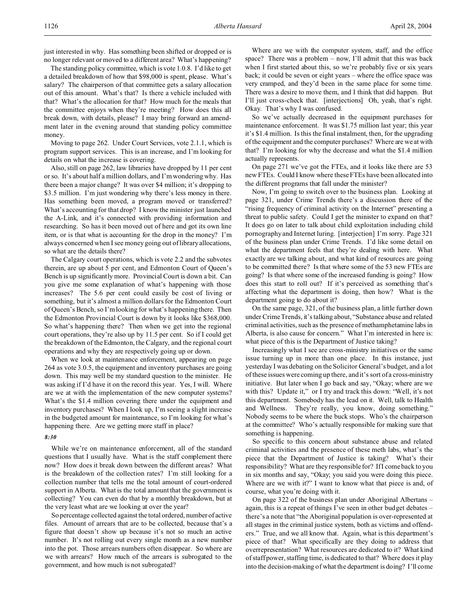just interested in why. Has something been shifted or dropped or is no longer relevant or moved to a different area? What's happening?

The standing policy committee, which is vote 1.0.8. I'd like to get a detailed breakdown of how that \$98,000 is spent, please. What's salary? The chairperson of that committee gets a salary allocation out of this amount. What's that? Is there a vehicle included with that? What's the allocation for that? How much for the meals that the committee enjoys when they're meeting? How does this all break down, with details, please? I may bring forward an amendment later in the evening around that standing policy committee money.

Moving to page 262. Under Court Services, vote 2.1.1, which is program support services. This is an increase, and I'm looking for details on what the increase is covering.

Also, still on page 262, law libraries have dropped by 11 per cent or so. It's about half a million dollars, and I'm wondering why. Has there been a major change? It was over \$4 million; it's dropping to \$3.5 million. I'm just wondering why there's less money in there. Has something been moved, a program moved or transferred? What's accounting for that drop? I know the minister just launched the A-Link, and it's connected with providing information and researching. So has it been moved out of here and got its own line item, or is that what is accounting for the drop in the money? I'm always concerned when I see money going out of library allocations, so what are the details there?

The Calgary court operations, which is vote 2.2 and the subvotes therein, are up about 5 per cent, and Edmonton Court of Queen's Bench is up significantly more. Provincial Court is down a bit. Can you give me some explanation of what's happening with those increases? The 5.6 per cent could easily be cost of living or something, but it's almost a million dollars for the Edmonton Court of Queen's Bench, so I'm looking for what's happening there. Then the Edmonton Provincial Court is down by it looks like \$368,000. So what's happening there? Then when we get into the regional court operations, they're also up by 11.5 per cent. So if I could get the breakdown of the Edmonton, the Calgary, and the regional court operations and why they are respectively going up or down.

When we look at maintenance enforcement, appearing on page 264 as vote 3.0.5, the equipment and inventory purchases are going down. This may well be my standard question to the minister. He was asking if I'd have it on the record this year. Yes, I will. Where are we at with the implementation of the new computer systems? What's the \$1.4 million covering there under the equipment and inventory purchases? When I look up, I'm seeing a slight increase in the budgeted amount for maintenance, so I'm looking for what's happening there. Are we getting more staff in place?

### *8:30*

While we're on maintenance enforcement, all of the standard questions that I usually have. What is the staff complement there now? How does it break down between the different areas? What is the breakdown of the collection rates? I'm still looking for a collection number that tells me the total amount of court-ordered support in Alberta. What is the total amount that the government is collecting? You can even do that by a monthly breakdown, but at the very least what are we looking at over the year?

So percentage collected against the total ordered, number of active files. Amount of arrears that are to be collected, because that's a figure that doesn't show up because it's not so much an active number. It's not rolling out every single month as a new number into the pot. Those arrears numbers often disappear. So where are we with arrears? How much of the arrears is subrogated to the government, and how much is not subrogated?

Where are we with the computer system, staff, and the office space? There was a problem – now, I'll admit that this was back when I first started about this, so we're probably five or six years back; it could be seven or eight years – where the office space was very cramped, and they'd been in the same place for some time. There was a desire to move them, and I think that did happen. But I'll just cross-check that. [interjections] Oh, yeah, that's right. Okay. That's why I was confused.

So we've actually decreased in the equipment purchases for maintenance enforcement. It was \$1.75 million last year; this year it's \$1.4 million. Is this the final instalment, then, for the upgrading of the equipment and the computer purchases? Where are we at with that? I'm looking for why the decrease and what the \$1.4 million actually represents.

On page 271 we've got the FTEs, and it looks like there are 53 new FTEs. Could I know where these FTEs have been allocated into the different programs that fall under the minister?

Now, I'm going to switch over to the business plan. Looking at page 321, under Crime Trends there's a discussion there of the "rising frequency of criminal activity on the Internet" presenting a threat to public safety. Could I get the minister to expand on that? It does go on later to talk about child exploitation including child pornography and Internet luring. [interjection] I'm sorry. Page 321 of the business plan under Crime Trends. I'd like some detail on what the department feels that they're dealing with here. What exactly are we talking about, and what kind of resources are going to be committed there? Is that where some of the 53 new FTEs are going? Is that where some of the increased funding is going? How does this start to roll out? If it's perceived as something that's affecting what the department is doing, then how? What is the department going to do about it?

On the same page, 321, of the business plan, a little further down under Crime Trends, it's talking about, "Substance abuse and related criminal activities, such as the presence of methamphetamine labs in Alberta, is also cause for concern." What I'm interested in here is: what piece of this is the Department of Justice taking?

Increasingly what I see are cross-ministry initiatives or the same issue turning up in more than one place. In this instance, just yesterday I was debating on the Solicitor General's budget, and a lot of these issues were coming up there, and it's sort of a cross-ministry initiative. But later when I go back and say, "Okay; where are we with this? Update it," or I try and track this down: "Well, it's not this department. Somebody has the lead on it. Well, talk to Health and Wellness. They're really, you know, doing something." Nobody seems to be where the buck stops. Who's the chairperson at the committee? Who's actually responsible for making sure that something is happening.

So specific to this concern about substance abuse and related criminal activities and the presence of these meth labs, what's the piece that the Department of Justice is taking? What's their responsibility? What are they responsible for? If I come back to you in six months and say, "Okay; you said you were doing this piece. Where are we with it?" I want to know what that piece is and, of course, what you're doing with it.

On page 322 of the business plan under Aboriginal Albertans – again, this is a repeat of things I've seen in other budget debates – there's a note that "the Aboriginal population is over-represented at all stages in the criminal justice system, both as victims and offenders." True, and we all know that. Again, what is this department's piece of that? What specifically are they doing to address that overrepresentation? What resources are dedicated to it? What kind of staff power, staffing time, is dedicated to that? Where does it play into the decision-making of what the department is doing? I'll come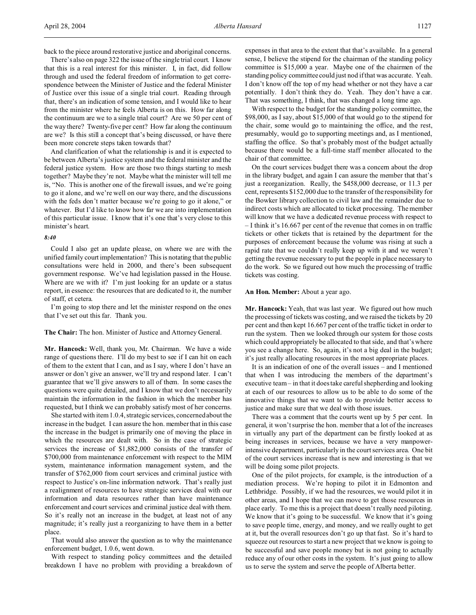back to the piece around restorative justice and aboriginal concerns.

There's also on page 322 the issue of the single trial court. I know that this is a real interest for this minister. I, in fact, did follow through and used the federal freedom of information to get correspondence between the Minister of Justice and the federal Minister of Justice over this issue of a single trial court. Reading through that, there's an indication of some tension, and I would like to hear from the minister where he feels Alberta is on this. How far along the continuum are we to a single trial court? Are we 50 per cent of the way there? Twenty-five per cent? How far along the continuum are we? Is this still a concept that's being discussed, or have there been more concrete steps taken towards that?

And clarification of what the relationship is and it is expected to be between Alberta's justice system and the federal minister and the federal justice system. How are those two things starting to mesh together? Maybe they're not. Maybe what the minister will tell me is, "No. This is another one of the firewall issues, and we're going to go it alone, and we're well on our way there, and the discussions with the feds don't matter because we're going to go it alone," or whatever. But I'd like to know how far we are into implementation of this particular issue. I know that it's one that's very close to this minister's heart.

## *8:40*

Could I also get an update please, on where we are with the unified family court implementation? This is notating that the public consultations were held in 2000, and there's been subsequent government response. We've had legislation passed in the House. Where are we with it? I'm just looking for an update or a status report, in essence: the resources that are dedicated to it, the number of staff, et cetera.

I'm going to stop there and let the minister respond on the ones that I've set out this far. Thank you.

### **The Chair:** The hon. Minister of Justice and Attorney General.

**Mr. Hancock:** Well, thank you, Mr. Chairman. We have a wide range of questions there. I'll do my best to see if I can hit on each of them to the extent that I can, and as I say, where I don't have an answer or don't give an answer, we'll try and respond later. I can't guarantee that we'll give answers to all of them. In some cases the questions were quite detailed, and I know that we don't necessarily maintain the information in the fashion in which the member has requested, but I think we can probably satisfy most of her concerns.

She started with item 1.0.4, strategic services, concerned about the increase in the budget. I can assure the hon. member that in this case the increase in the budget is primarily one of moving the place in which the resources are dealt with. So in the case of strategic services the increase of \$1,882,000 consists of the transfer of \$700,000 from maintenance enforcement with respect to the MIM system, maintenance information management system, and the transfer of \$762,000 from court services and criminal justice with respect to Justice's on-line information network. That's really just a realignment of resources to have strategic services deal with our information and data resources rather than have maintenance enforcement and court services and criminal justice deal with them. So it's really not an increase in the budget, at least not of any magnitude; it's really just a reorganizing to have them in a better place.

That would also answer the question as to why the maintenance enforcement budget, 1.0.6, went down.

With respect to standing policy committees and the detailed breakdown I have no problem with providing a breakdown of expenses in that area to the extent that that's available. In a general sense, I believe the stipend for the chairman of the standing policy committee is \$15,000 a year. Maybe one of the chairmen of the standing policy committee could just nod if that was accurate. Yeah. I don't know off the top of my head whether or not they have a car potentially. I don't think they do. Yeah. They don't have a car. That was something, I think, that was changed a long time ago.

With respect to the budget for the standing policy committee, the \$98,000, as I say, about \$15,000 of that would go to the stipend for the chair, some would go to maintaining the office, and the rest, presumably, would go to supporting meetings and, as I mentioned, staffing the office. So that's probably most of the budget actually because there would be a full-time staff member allocated to the chair of that committee.

On the court services budget there was a concern about the drop in the library budget, and again I can assure the member that that's just a reorganization. Really, the \$458,000 decrease, or 11.3 per cent, represents \$152,000 due to the transfer of the responsibility for the Bowker library collection to civil law and the remainder due to indirect costs which are allocated to ticket processing. The member will know that we have a dedicated revenue process with respect to – I think it's 16.667 per cent of the revenue that comes in on traffic tickets or other tickets that is retained by the department for the purposes of enforcement because the volume was rising at such a rapid rate that we couldn't really keep up with it and we weren't getting the revenue necessary to put the people in place necessary to do the work. So we figured out how much the processing of traffic tickets was costing.

#### **An Hon. Member:** About a year ago.

**Mr. Hancock:** Yeah, that was last year. We figured out how much the processing of tickets was costing, and we raised the tickets by 20 per cent and then kept 16.667 per cent of the traffic ticket in order to run the system. Then we looked through our system for those costs which could appropriately be allocated to that side, and that's where you see a change here. So, again, it's not a big deal in the budget; it's just really allocating resources in the most appropriate places.

It is an indication of one of the overall issues – and I mentioned that when I was introducing the members of the department's executive team – in that it does take careful shepherding and looking at each of our resources to allow us to be able to do some of the innovative things that we want to do to provide better access to justice and make sure that we deal with those issues.

There was a comment that the courts went up by 5 per cent. In general, it won't surprise the hon. member that a lot of the increases in virtually any part of the department can be firstly looked at as being increases in services, because we have a very manpowerintensive department, particularly in the court services area. One bit of the court services increase that is new and interesting is that we will be doing some pilot projects.

One of the pilot projects, for example, is the introduction of a mediation process. We're hoping to pilot it in Edmonton and Lethbridge. Possibly, if we had the resources, we would pilot it in other areas, and I hope that we can move to get those resources in place early. To me this is a project that doesn't really need piloting. We know that it's going to be successful. We know that it's going to save people time, energy, and money, and we really ought to get at it, but the overall resources don't go up that fast. So it's hard to squeeze out resources to start a new project that we know is going to be successful and save people money but is not going to actually reduce any of our other costs in the system. It's just going to allow us to serve the system and serve the people of Alberta better.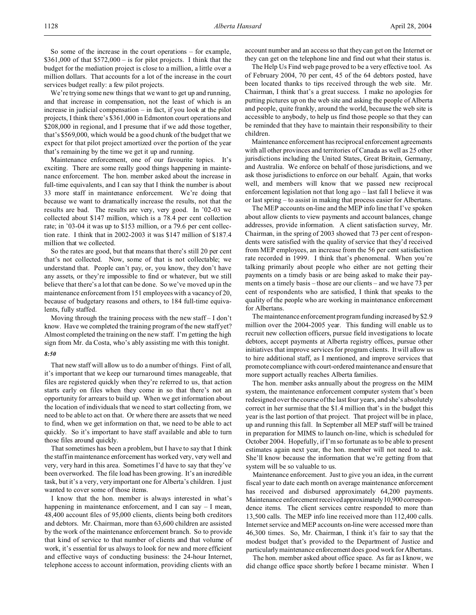So some of the increase in the court operations – for example, \$361,000 of that \$572,000 – is for pilot projects. I think that the budget for the mediation project is close to a million, a little over a million dollars. That accounts for a lot of the increase in the court services budget really: a few pilot projects.

We're trying some new things that we want to get up and running, and that increase in compensation, not the least of which is an increase in judicial compensation – in fact, if you look at the pilot projects, I think there's \$361,000 in Edmonton court operations and \$208,000 in regional, and I presume that if we add those together, that's \$569,000, which would be a good chunk of the budget that we expect for that pilot project amortized over the portion of the year that's remaining by the time we get it up and running.

Maintenance enforcement, one of our favourite topics. It's exciting. There are some really good things happening in maintenance enforcement. The hon. member asked about the increase in full-time equivalents, and I can say that I think the number is about 33 more staff in maintenance enforcement. We're doing that because we want to dramatically increase the results, not that the results are bad. The results are very, very good. In '02-03 we collected about \$147 million, which is a 78.4 per cent collection rate; in '03-04 it was up to \$153 million, or a 79.6 per cent collection rate. I think that in 2002-2003 it was \$147 million of \$187.4 million that we collected.

So the rates are good, but that means that there's still 20 per cent that's not collected. Now, some of that is not collectable; we understand that. People can't pay, or, you know, they don't have any assets, or they're impossible to find or whatever, but we still believe that there's a lot that can be done. So we've moved up in the maintenance enforcement from 151 employees with a vacancy of 20, because of budgetary reasons and others, to 184 full-time equivalents, fully staffed.

Moving through the training process with the new staff – I don't know. Have we completed the training program of the new staff yet? Almost completed the training on the new staff. I'm getting the high sign from Mr. da Costa, who's ably assisting me with this tonight.

### *8:50*

That new staff will allow us to do a number of things. First of all, it's important that we keep our turnaround times manageable, that files are registered quickly when they're referred to us, that action starts early on files when they come in so that there's not an opportunity for arrears to build up. When we get information about the location of individuals that we need to start collecting from, we need to be able to act on that. Or where there are assets that we need to find, when we get information on that, we need to be able to act quickly. So it's important to have staff available and able to turn those files around quickly.

That sometimes has been a problem, but I have to say that I think the staff in maintenance enforcement has worked very, very well and very, very hard in this area. Sometimes I'd have to say that they've been overworked. The file load has been growing. It's an incredible task, but it's a very, very important one for Alberta's children. I just wanted to cover some of those items.

I know that the hon. member is always interested in what's happening in maintenance enforcement, and I can say – I mean, 48,400 account files of 95,000 clients, clients being both creditors and debtors. Mr. Chairman, more than 63,600 children are assisted by the work of the maintenance enforcement branch. So to provide that kind of service to that number of clients and that volume of work, it's essential for us always to look for new and more efficient and effective ways of conducting business: the 24-hour Internet, telephone access to account information, providing clients with an

account number and an access so that they can get on the Internet or they can get on the telephone line and find out what their status is.

The Help Us Find web page proved to be a very effective tool. As of February 2004, 70 per cent, 45 of the 64 debtors posted, have been located thanks to tips received through the web site. Mr. Chairman, I think that's a great success. I make no apologies for putting pictures up on the web site and asking the people of Alberta and people, quite frankly, around the world, because the web site is accessible to anybody, to help us find those people so that they can be reminded that they have to maintain their responsibility to their children.

Maintenance enforcement has reciprocal enforcement agreements with all other provinces and territories of Canada as well as 25 other jurisdictions including the United States, Great Britain, Germany, and Australia. We enforce on behalf of those jurisdictions, and we ask those jurisdictions to enforce on our behalf. Again, that works well, and members will know that we passed new reciprocal enforcement legislation not that long ago – last fall I believe it was or last spring – to assist in making that process easier for Albertans.

The MEP accounts on-line and the MEP info line that I've spoken about allow clients to view payments and account balances, change addresses, provide information. A client satisfaction survey, Mr. Chairman, in the spring of 2003 showed that 73 per cent of respondents were satisfied with the quality of service that they'd received from MEP employees, an increase from the 56 per cent satisfaction rate recorded in 1999. I think that's phenomenal. When you're talking primarily about people who either are not getting their payments on a timely basis or are being asked to make their payments on a timely basis – those are our clients – and we have 73 per cent of respondents who are satisfied, I think that speaks to the quality of the people who are working in maintenance enforcement for Albertans.

The maintenance enforcement program funding increased by \$2.9 million over the 2004-2005 year. This funding will enable us to recruit new collection officers, pursue field investigations to locate debtors, accept payments at Alberta registry offices, pursue other initiatives that improve services for program clients. It will allow us to hire additional staff, as I mentioned, and improve services that promote compliance with court-ordered maintenance and ensure that more support actually reaches Alberta families.

The hon. member asks annually about the progress on the MIM system, the maintenance enforcement computer system that's been redesigned over the course of the last four years, and she's absolutely correct in her surmise that the \$1.4 million that's in the budget this year is the last portion of that project. That project will be in place, up and running this fall. In September all MEP staff will be trained in preparation for MIMS to launch on-line, which is scheduled for October 2004. Hopefully, if I'm so fortunate as to be able to present estimates again next year, the hon. member will not need to ask. She'll know because the information that we're getting from that system will be so valuable to us.

Maintenance enforcement. Just to give you an idea, in the current fiscal year to date each month on average maintenance enforcement has received and disbursed approximately 64,200 payments. Maintenance enforcement received approximately10,900 correspondence items. The client services centre responded to more than 13,500 calls. The MEP info line received more than 112,400 calls. Internet service and MEP accounts on-line were accessed more than 46,300 times. So, Mr. Chairman, I think it's fair to say that the modest budget that's provided to the Department of Justice and particularly maintenance enforcement does good work for Albertans.

The hon. member asked about office space. As far as I know, we did change office space shortly before I became minister. When I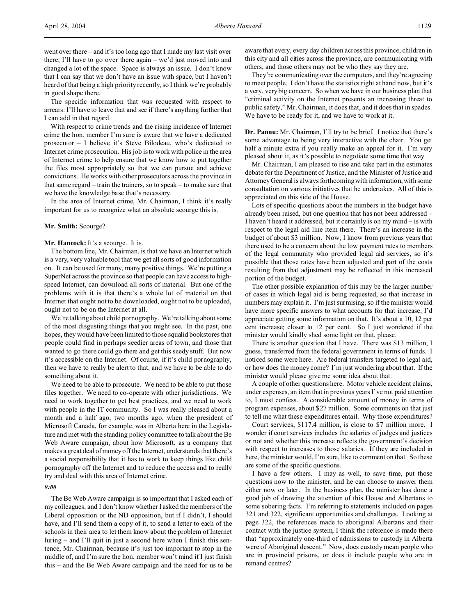went over there – and it's too long ago that I made my last visit over there; I'll have to go over there again – we'd just moved into and changed a lot of the space. Space is always an issue. I don't know that I can say that we don't have an issue with space, but I haven't heard of that being a high priority recently, so I think we're probably in good shape there.

The specific information that was requested with respect to arrears: I'll have to leave that and see if there's anything further that I can add in that regard.

With respect to crime trends and the rising incidence of Internet crime the hon. member I'm sure is aware that we have a dedicated prosecutor – I believe it's Steve Bilodeau, who's dedicated to Internet crime prosecution. His job is to work with police in the area of Internet crime to help ensure that we know how to put together the files most appropriately so that we can pursue and achieve convictions. He works with other prosecutors across the province in that same regard – train the trainers, so to speak – to make sure that we have the knowledge base that's necessary.

In the area of Internet crime, Mr. Chairman, I think it's really important for us to recognize what an absolute scourge this is.

#### **Mr. Smith:** Scourge?

**Mr. Hancock:** It's a scourge. It is.

The bottom line, Mr. Chairman, is that we have an Internet which is a very, very valuable tool that we get all sorts of good information on. It can be used for many, many positive things. We're putting a SuperNet across the province so that people can have access to highspeed Internet, can download all sorts of material. But one of the problems with it is that there's a whole lot of material on that Internet that ought not to be downloaded, ought not to be uploaded, ought not to be on the Internet at all.

We're talking about child pornography. We're talking about some of the most disgusting things that you might see. In the past, one hopes, they would have been limited to those squalid bookstores that people could find in perhaps seedier areas of town, and those that wanted to go there could go there and get this seedy stuff. But now it's accessible on the Internet. Of course, if it's child pornography, then we have to really be alert to that, and we have to be able to do something about it.

We need to be able to prosecute. We need to be able to put those files together. We need to co-operate with other jurisdictions. We need to work together to get best practices, and we need to work with people in the IT community. So I was really pleased about a month and a half ago, two months ago, when the president of Microsoft Canada, for example, was in Alberta here in the Legislature and met with the standing policy committee to talk about the Be Web Aware campaign, about how Microsoft, as a company that makes a great deal of money off the Internet, understands that there's a social responsibility that it has to work to keep things like child pornography off the Internet and to reduce the access and to really try and deal with this area of Internet crime.

## *9:00*

The Be Web Aware campaign is so important that I asked each of my colleagues, and I don't know whether I asked the members of the Liberal opposition or the ND opposition, but if I didn't, I should have, and I'll send them a copy of it, to send a letter to each of the schools in their area to let them know about the problem of Internet luring – and I'll quit in just a second here when I finish this sentence, Mr. Chairman, because it's just too important to stop in the middle of, and I'm sure the hon. member won't mind if I just finish this – and the Be Web Aware campaign and the need for us to be

aware that every, every day children across this province, children in this city and all cities across the province, are communicating with others, and those others may not be who they say they are.

They're communicating over the computers, and they're agreeing to meet people. I don't have the statistics right at hand now, but it's a very, very big concern. So when we have in our business plan that "criminal activity on the Internet presents an increasing threat to public safety," Mr. Chairman, it does that, and it does that in spades. We have to be ready for it, and we have to work at it.

**Dr. Pannu:** Mr. Chairman, I'll try to be brief. I notice that there's some advantage to being very interactive with the chair. You get half a minute extra if you really make an appeal for it. I'm very pleased about it, as it's possible to negotiate some time that way.

Mr. Chairman, I am pleased to rise and take part in the estimates debate for the Department of Justice, and the Minister of Justice and Attorney General is always forthcoming with information, with some consultation on various initiatives that he undertakes. All of this is appreciated on this side of the House.

Lots of specific questions about the numbers in the budget have already been raised, but one question that has not been addressed – I haven't heard it addressed, but it certainly is on my mind – is with respect to the legal aid line item there. There's an increase in the budget of about \$3 million. Now, I know from previous years that there used to be a concern about the low payment rates to members of the legal community who provided legal aid services, so it's possible that those rates have been adjusted and part of the costs resulting from that adjustment may be reflected in this increased portion of the budget.

The other possible explanation of this may be the larger number of cases in which legal aid is being requested, so that increase in numbers may explain it. I'm just surmising, so if the minister would have more specific answers to what accounts for that increase, I'd appreciate getting some information on that. It's about a 10, 12 per cent increase; closer to 12 per cent. So I just wondered if the minister would kindly shed some light on that, please.

There is another question that I have. There was \$13 million, I guess, transferred from the federal government in terms of funds. I noticed some were here. Are federal transfers targeted to legal aid, or how does the money come? I'm just wondering about that. If the minister would please give me some idea about that.

A couple of other questions here. Motor vehicle accident claims, under expenses, an item that in previous years I've not paid attention to, I must confess. A considerable amount of money in terms of program expenses, about \$27 million. Some comments on that just to tell me what these expenditures entail. Why those expenditures?

Court services, \$117.4 million, is close to \$7 million more. I wonder if court services includes the salaries of judges and justices or not and whether this increase reflects the government's decision with respect to increases to those salaries. If they are included in here, the minister would, I'm sure, like to comment on that. So these are some of the specific questions.

I have a few others. I may as well, to save time, put those questions now to the minister, and he can choose to answer them either now or later. In the business plan, the minister has done a good job of drawing the attention of this House and Albertans to some sobering facts. I'm referring to statements included on pages 321 and 322, significant opportunities and challenges. Looking at page 322, the references made to aboriginal Albertans and their contact with the justice system, I think the reference is made there that "approximately one-third of admissions to custody in Alberta were of Aboriginal descent." Now, does custody mean people who are in provincial prisons, or does it include people who are in remand centres?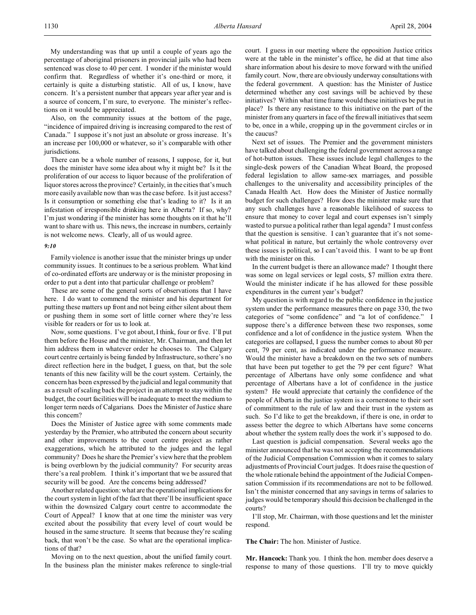My understanding was that up until a couple of years ago the percentage of aboriginal prisoners in provincial jails who had been sentenced was close to 40 per cent. I wonder if the minister would confirm that. Regardless of whether it's one-third or more, it certainly is quite a disturbing statistic. All of us, I know, have concern. It's a persistent number that appears year after year and is a source of concern, I'm sure, to everyone. The minister's reflections on it would be appreciated.

Also, on the community issues at the bottom of the page, "incidence of impaired driving is increasing compared to the rest of Canada." I suppose it's not just an absolute or gross increase. It's an increase per 100,000 or whatever, so it's comparable with other jurisdictions.

There can be a whole number of reasons, I suppose, for it, but does the minister have some idea about why it might be? Is it the proliferation of our access to liquor because of the proliferation of liquor stores across the province? Certainly, in the cities that's much more easily available now than was the case before. Is it just access? Is it consumption or something else that's leading to it? Is it an infestation of irresponsible drinking here in Alberta? If so, why? I'm just wondering if the minister has some thoughts on it that he'll want to share with us. This news, the increase in numbers, certainly is not welcome news. Clearly, all of us would agree.

### *9:10*

Family violence is another issue that the minister brings up under community issues. It continues to be a serious problem. What kind of co-ordinated efforts are underway or is the minister proposing in order to put a dent into that particular challenge or problem?

These are some of the general sorts of observations that I have here. I do want to commend the minister and his department for putting these matters up front and not being either silent about them or pushing them in some sort of little corner where they're less visible for readers or for us to look at.

Now, some questions. I've got about, I think, four or five. I'll put them before the House and the minister, Mr. Chairman, and then let him address them in whatever order he chooses to. The Calgary court centre certainly is being funded by Infrastructure, so there's no direct reflection here in the budget, I guess, on that, but the sole tenants of this new facility will be the court system. Certainly, the concern has been expressed by the judicial and legal community that as a result of scaling back the project in an attempt to stay within the budget, the court facilities will be inadequate to meet the medium to longer term needs of Calgarians. Does the Minister of Justice share this concern?

Does the Minister of Justice agree with some comments made yesterday by the Premier, who attributed the concern about security and other improvements to the court centre project as rather exaggerations, which he attributed to the judges and the legal community? Does he share the Premier's view here that the problem is being overblown by the judicial community? For security areas there's a real problem. I think it's important that we be assured that security will be good. Are the concerns being addressed?

Anotherrelated question: what are the operational implications for the court system in light of the fact that there'll be insufficient space within the downsized Calgary court centre to accommodate the Court of Appeal? I know that at one time the minister was very excited about the possibility that every level of court would be housed in the same structure. It seems that because they're scaling back, that won't be the case. So what are the operational implications of that?

Moving on to the next question, about the unified family court. In the business plan the minister makes reference to single-trial court. I guess in our meeting where the opposition Justice critics were at the table in the minister's office, he did at that time also share information about his desire to move forward with the unified family court. Now, there are obviously underway consultations with the federal government. A question: has the Minister of Justice determined whether any cost savings will be achieved by these initiatives? Within what time frame would these initiatives be put in place? Is there any resistance to this initiative on the part of the minister from any quarters in face of the firewall initiatives that seem to be, once in a while, cropping up in the government circles or in the caucus?

Next set of issues. The Premier and the government ministers have talked about challenging the federal government across a range of hot-button issues. These issues include legal challenges to the single-desk powers of the Canadian Wheat Board, the proposed federal legislation to allow same-sex marriages, and possible challenges to the universality and accessibility principles of the Canada Health Act. How does the Minister of Justice normally budget for such challenges? How does the minister make sure that any such challenges have a reasonable likelihood of success to ensure that money to cover legal and court expenses isn't simply wasted to pursue a political rather than legal agenda? I must confess that the question is sensitive. I can't guarantee that it's not somewhat political in nature, but certainly the whole controversy over these issues is political, so I can't avoid this. I want to be up front with the minister on this.

In the current budget is there an allowance made? I thought there was some on legal services or legal costs, \$7 million extra there. Would the minister indicate if he has allowed for these possible expenditures in the current year's budget?

My question is with regard to the public confidence in the justice system under the performance measures there on page 330, the two categories of "some confidence" and "a lot of confidence." I suppose there's a difference between these two responses, some confidence and a lot of confidence in the justice system. When the categories are collapsed, I guess the number comes to about 80 per cent, 79 per cent, as indicated under the performance measure. Would the minister have a breakdown on the two sets of numbers that have been put together to get the 79 per cent figure? What percentage of Albertans have only some confidence and what percentage of Albertans have a lot of confidence in the justice system? He would appreciate that certainly the confidence of the people of Alberta in the justice system is a cornerstone to their sort of commitment to the rule of law and their trust in the system as such. So I'd like to get the breakdown, if there is one, in order to assess better the degree to which Albertans have some concerns about whether the system really does the work it's supposed to do.

Last question is judicial compensation. Several weeks ago the minister announced that he was not accepting the recommendations of the Judicial Compensation Commission when it comes to salary adjustments of Provincial Court judges. It does raise the question of the whole rationale behind the appointment of the Judicial Compensation Commission if its recommendations are not to be followed. Isn't the minister concerned that any savings in terms of salaries to judges would be temporary should this decision be challenged in the courts?

I'll stop, Mr. Chairman, with those questions and let the minister respond.

**The Chair:** The hon. Minister of Justice.

**Mr. Hancock:** Thank you. I think the hon. member does deserve a response to many of those questions. I'll try to move quickly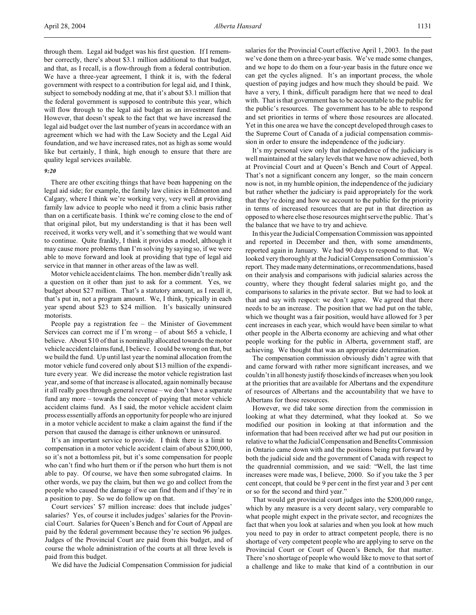through them. Legal aid budget was his first question. If I remember correctly, there's about \$3.1 million additional to that budget, and that, as I recall, is a flow-through from a federal contribution. We have a three-year agreement, I think it is, with the federal government with respect to a contribution for legal aid, and I think, subject to somebody nodding at me, that it's about \$3.1 million that the federal government is supposed to contribute this year, which will flow through to the legal aid budget as an investment fund. However, that doesn't speak to the fact that we have increased the legal aid budget over the last number of years in accordance with an agreement which we had with the Law Society and the Legal Aid foundation, and we have increased rates, not as high as some would like but certainly, I think, high enough to ensure that there are quality legal services available.

### *9:20*

There are other exciting things that have been happening on the legal aid side; for example, the family law clinics in Edmonton and Calgary, where I think we're working very, very well at providing family law advice to people who need it from a clinic basis rather than on a certificate basis. I think we're coming close to the end of that original pilot, but my understanding is that it has been well received, it works very well, and it's something that we would want to continue. Quite frankly, I think it provides a model, although it may cause more problems than I'm solving by saying so, if we were able to move forward and look at providing that type of legal aid service in that manner in other areas of the law as well.

Motor vehicle accident claims. The hon. member didn't really ask a question on it other than just to ask for a comment. Yes, we budget about \$27 million. That's a statutory amount, as I recall it, that's put in, not a program amount. We, I think, typically in each year spend about \$23 to \$24 million. It's basically uninsured motorists.

People pay a registration fee – the Minister of Government Services can correct me if I'm wrong – of about \$65 a vehicle, I believe. About \$10 of that is nominally allocated towards the motor vehicle accident claims fund, I believe. I could be wrong on that, but we build the fund. Up until last year the nominal allocation from the motor vehicle fund covered only about \$13 million of the expenditure every year. We did increase the motor vehicle registration last year, and some of that increase is allocated, again nominally because it all really goes through general revenue – we don't have a separate fund any more – towards the concept of paying that motor vehicle accident claims fund. As I said, the motor vehicle accident claim process essentially affords an opportunity for people who are injured in a motor vehicle accident to make a claim against the fund if the person that caused the damage is either unknown or uninsured.

It's an important service to provide. I think there is a limit to compensation in a motor vehicle accident claim of about \$200,000, so it's not a bottomless pit, but it's some compensation for people who can't find who hurt them or if the person who hurt them is not able to pay. Of course, we have then some subrogated claims. In other words, we pay the claim, but then we go and collect from the people who caused the damage if we can find them and if they're in a position to pay. So we do follow up on that.

Court services' \$7 million increase: does that include judges' salaries? Yes, of course it includes judges' salaries for the Provincial Court. Salaries for Queen's Bench and for Court of Appeal are paid by the federal government because they're section 96 judges. Judges of the Provincial Court are paid from this budget, and of course the whole administration of the courts at all three levels is paid from this budget.

We did have the Judicial Compensation Commission for judicial

salaries for the Provincial Court effective April 1, 2003. In the past we've done them on a three-year basis. We've made some changes, and we hope to do them on a four-year basis in the future once we can get the cycles aligned. It's an important process, the whole question of paying judges and how much they should be paid. We have a very, I think, difficult paradigm here that we need to deal with. That is that government has to be accountable to the public for the public's resources. The government has to be able to respond and set priorities in terms of where those resources are allocated. Yet in this one area we have the concept developed through cases to the Supreme Court of Canada of a judicial compensation commission in order to ensure the independence of the judiciary.

It's my personal view only that independence of the judiciary is well maintained at the salary levels that we have now achieved, both at Provincial Court and at Queen's Bench and Court of Appeal. That's not a significant concern any longer, so the main concern now is not, in my humble opinion, the independence of the judiciary but rather whether the judiciary is paid appropriately for the work that they're doing and how we account to the public for the priority in terms of increased resources that are put in that direction as opposed to where else those resources might serve the public. That's the balance that we have to try and achieve.

In this year the Judicial Compensation Commission was appointed and reported in December and then, with some amendments, reported again in January. We had 90 days to respond to that. We looked very thoroughly at the Judicial Compensation Commission's report. They made many determinations, or recommendations, based on their analysis and comparisons with judicial salaries across the country, where they thought federal salaries might go, and the comparisons to salaries in the private sector. But we had to look at that and say with respect: we don't agree. We agreed that there needs to be an increase. The position that we had put on the table, which we thought was a fair position, would have allowed for 3 per cent increases in each year, which would have been similar to what other people in the Alberta economy are achieving and what other people working for the public in Alberta, government staff, are achieving. We thought that was an appropriate determination.

The compensation commission obviously didn't agree with that and came forward with rather more significant increases, and we couldn't in all honesty justify those kinds of increases when you look at the priorities that are available for Albertans and the expenditure of resources of Albertans and the accountability that we have to Albertans for those resources.

However, we did take some direction from the commission in looking at what they determined, what they looked at. So we modified our position in looking at that information and the information that had been received after we had put our position in relative to what the Judicial Compensation and Benefits Commission in Ontario came down with and the positions being put forward by both the judicial side and the government of Canada with respect to the quadrennial commission, and we said: "Well, the last time increases were made was, I believe, 2000. So if you take the 3 per cent concept, that could be 9 per cent in the first year and 3 per cent or so for the second and third year."

That would get provincial court judges into the \$200,000 range, which by any measure is a very decent salary, very comparable to what people might expect in the private sector, and recognizes the fact that when you look at salaries and when you look at how much you need to pay in order to attract competent people, there is no shortage of very competent people who are applying to serve on the Provincial Court or Court of Queen's Bench, for that matter. There's no shortage of people who would like to move to that sort of a challenge and like to make that kind of a contribution in our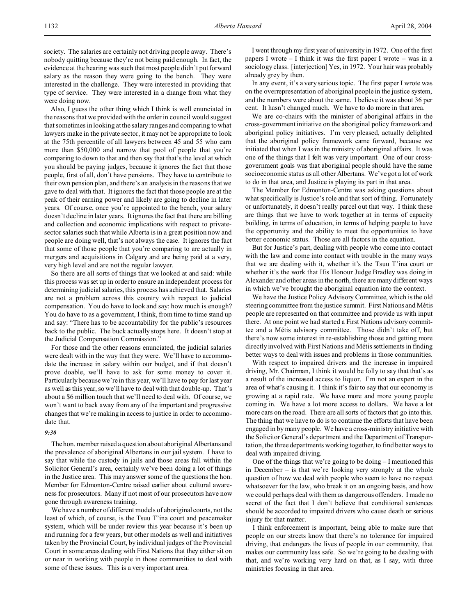society. The salaries are certainly not driving people away. There's nobody quitting because they're not being paid enough. In fact, the evidence at the hearing was such that most people didn't put forward salary as the reason they were going to the bench. They were interested in the challenge. They were interested in providing that type of service. They were interested in a change from what they were doing now.

Also, I guess the other thing which I think is well enunciated in the reasons that we provided with the order in council would suggest that sometimes in looking at the salary ranges and comparing to what lawyers make in the private sector, it may not be appropriate to look at the 75th percentile of all lawyers between 45 and 55 who earn more than \$50,000 and narrow that pool of people that you're comparing to down to that and then say that that's the level at which you should be paying judges, because it ignores the fact that those people, first of all, don't have pensions. They have to contribute to their own pension plan, and there's an analysis in the reasons that we gave to deal with that. It ignores the fact that those people are at the peak of their earning power and likely are going to decline in later years. Of course, once you're appointed to the bench, your salary doesn't decline in later years. It ignores the fact that there are billing and collection and economic implications with respect to privatesector salaries such that while Alberta is in a great position now and people are doing well, that's not always the case. It ignores the fact that some of those people that you're comparing to are actually in mergers and acquisitions in Calgary and are being paid at a very, very high level and are not the regular lawyer.

So there are all sorts of things that we looked at and said: while this process was set up in order to ensure an independent process for determining judicial salaries, this process has achieved that. Salaries are not a problem across this country with respect to judicial compensation. You do have to look and say: how much is enough? You do have to as a government, I think, from time to time stand up and say: "There has to be accountability for the public's resources back to the public. The buck actually stops here. It doesn't stop at the Judicial Compensation Commission."

For those and the other reasons enunciated, the judicial salaries were dealt with in the way that they were. We'll have to accommodate the increase in salary within our budget, and if that doesn't prove doable, we'll have to ask for some money to cover it. Particularly because we're in this year, we'll have to pay for last year as well as this year, so we'll have to deal with that double-up. That's about a \$6 million touch that we'll need to deal with. Of course, we won't want to back away from any of the important and progressive changes that we're making in access to justice in order to accommodate that.

#### *9:30*

The hon. member raised a question about aboriginal Albertans and the prevalence of aboriginal Albertans in our jail system. I have to say that while the custody in jails and those areas fall within the Solicitor General's area, certainly we've been doing a lot of things in the Justice area. This may answer some of the questions the hon. Member for Edmonton-Centre raised earlier about cultural awareness for prosecutors. Many if not most of our prosecutors have now gone through awareness training.

We have a number of different models of aboriginal courts, not the least of which, of course, is the Tsuu T'ina court and peacemaker system, which will be under review this year because it's been up and running for a few years, but other models as well and initiatives taken by the Provincial Court, by individual judges of the Provincial Court in some areas dealing with First Nations that they either sit on or near in working with people in those communities to deal with some of these issues. This is a very important area.

I went through my first year of university in 1972. One of the first papers I wrote – I think it was the first paper I wrote – was in a sociology class. [interjection] Yes, in 1972. Your hair was probably already grey by then.

In any event, it's a very serious topic. The first paper I wrote was on the overrepresentation of aboriginal people in the justice system, and the numbers were about the same. I believe it was about 36 per cent. It hasn't changed much. We have to do more in that area.

We are co-chairs with the minister of aboriginal affairs in the cross-government initiative on the aboriginal policy framework and aboriginal policy initiatives. I'm very pleased, actually delighted that the aboriginal policy framework came forward, because we initiated that when I was in the ministry of aboriginal affairs. It was one of the things that I felt was very important. One of our crossgovernment goals was that aboriginal people should have the same socioeconomic status as all other Albertans. We've got a lot of work to do in that area, and Justice is playing its part in that area.

The Member for Edmonton-Centre was asking questions about what specifically is Justice's role and that sort of thing. Fortunately or unfortunately, it doesn't really parcel out that way. I think these are things that we have to work together at in terms of capacity building, in terms of education, in terms of helping people to have the opportunity and the ability to meet the opportunities to have better economic status. Those are all factors in the equation.

But for Justice's part, dealing with people who come into contact with the law and come into contact with trouble in the many ways that we are dealing with it, whether it's the Tsuu T'ina court or whether it's the work that His Honour Judge Bradley was doing in Alexander and other areas in the north, there are many different ways in which we've brought the aboriginal equation into the context.

We have the Justice Policy Advisory Committee, which is the old steering committee from the justice summit. First Nations and Métis people are represented on that committee and provide us with input there. At one point we had started a First Nations advisory committee and a Métis advisory committee. Those didn't take off, but there's now some interest in re-establishing those and getting more directly involved with First Nations and Métis settlements in finding better ways to deal with issues and problems in those communities.

With respect to impaired drivers and the increase in impaired driving, Mr. Chairman, I think it would be folly to say that that's as a result of the increased access to liquor. I'm not an expert in the area of what's causing it. I think it's fair to say that our economy is growing at a rapid rate. We have more and more young people coming in. We have a lot more access to dollars. We have a lot more cars on the road. There are all sorts of factors that go into this. The thing that we have to do is to continue the efforts that have been engaged in by many people. We have a cross-ministry initiative with the Solicitor General's department and the Department of Transportation, the three departments working together, to find better ways to deal with impaired driving.

One of the things that we're going to be doing – I mentioned this in December – is that we're looking very strongly at the whole question of how we deal with people who seem to have no respect whatsoever for the law, who break it on an ongoing basis, and how we could perhaps deal with them as dangerous offenders. I made no secret of the fact that I don't believe that conditional sentences should be accorded to impaired drivers who cause death or serious injury for that matter.

I think enforcement is important, being able to make sure that people on our streets know that there's no tolerance for impaired driving, that endangers the lives of people in our community, that makes our community less safe. So we're going to be dealing with that, and we're working very hard on that, as I say, with three ministries focusing in that area.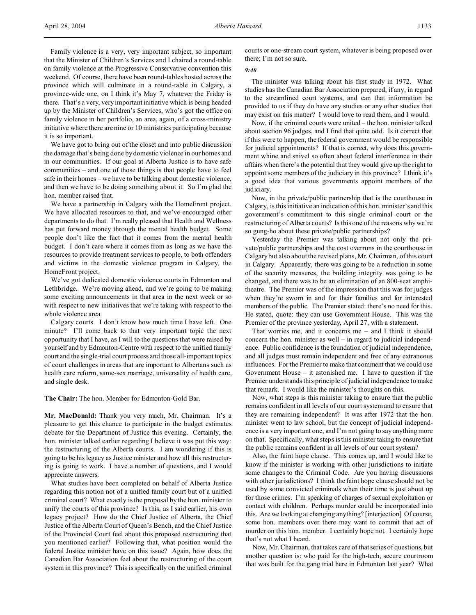Family violence is a very, very important subject, so important that the Minister of Children's Services and I chaired a round-table on family violence at the Progressive Conservative convention this weekend. Of course, there have been round-tables hosted across the province which will culminate in a round-table in Calgary, a province-wide one, on I think it's May 7, whatever the Friday is there. That's a very, very important initiative which is being headed up by the Minister of Children's Services, who's got the office on family violence in her portfolio, an area, again, of a cross-ministry initiative where there are nine or 10 ministries participating because it is so important.

We have got to bring out of the closet and into public discussion the damage that's being done by domestic violence in our homes and in our communities. If our goal at Alberta Justice is to have safe communities – and one of those things is that people have to feel safe in their homes – we have to be talking about domestic violence, and then we have to be doing something about it. So I'm glad the hon. member raised that.

We have a partnership in Calgary with the HomeFront project. We have allocated resources to that, and we've encouraged other departments to do that. I'm really pleased that Health and Wellness has put forward money through the mental health budget. Some people don't like the fact that it comes from the mental health budget. I don't care where it comes from as long as we have the resources to provide treatment services to people, to both offenders and victims in the domestic violence program in Calgary, the HomeFront project.

We've got dedicated domestic violence courts in Edmonton and Lethbridge. We're moving ahead, and we're going to be making some exciting announcements in that area in the next week or so with respect to new initiatives that we're taking with respect to the whole violence area.

Calgary courts. I don't know how much time I have left. One minute? I'll come back to that very important topic the next opportunity that I have, as I will to the questions that were raised by yourself and by Edmonton-Centre with respect to the unified family court and the single-trial court process and those all-important topics of court challenges in areas that are important to Albertans such as health care reform, same-sex marriage, universality of health care, and single desk.

**The Chair:** The hon. Member for Edmonton-Gold Bar.

**Mr. MacDonald:** Thank you very much, Mr. Chairman. It's a pleasure to get this chance to participate in the budget estimates debate for the Department of Justice this evening. Certainly, the hon. minister talked earlier regarding I believe it was put this way: the restructuring of the Alberta courts. I am wondering if this is going to be his legacy as Justice minister and how all this restructuring is going to work. I have a number of questions, and I would appreciate answers.

What studies have been completed on behalf of Alberta Justice regarding this notion not of a unified family court but of a unified criminal court? What exactly is the proposal by the hon. minister to unify the courts of this province? Is this, as I said earlier, his own legacy project? How do the Chief Justice of Alberta, the Chief Justice of the Alberta Court of Queen's Bench, and the Chief Justice of the Provincial Court feel about this proposed restructuring that you mentioned earlier? Following that, what position would the federal Justice minister have on this issue? Again, how does the Canadian Bar Association feel about the restructuring of the court system in this province? This is specifically on the unified criminal

courts or one-stream court system, whatever is being proposed over there; I'm not so sure.

# *9:40*

The minister was talking about his first study in 1972. What studies has the Canadian Bar Association prepared, if any, in regard to the streamlined court systems, and can that information be provided to us if they do have any studies or any other studies that may exist on this matter? I would love to read them, and I would.

Now, if the criminal courts were united – the hon. minister talked about section 96 judges, and I find that quite odd. Is it correct that if this were to happen, the federal government would be responsible for judicial appointments? If that is correct, why does this government whine and snivel so often about federal interference in their affairs when there's the potential that they would give up the right to appoint some members of the judiciary in this province? I think it's a good idea that various governments appoint members of the judiciary.

Now, in the private/public partnership that is the courthouse in Calgary, is this initiative an indication of this hon. minister's and this government's commitment to this single criminal court or the restructuring of Alberta courts? Is this one of the reasons why we're so gung-ho about these private/public partnerships?

Yesterday the Premier was talking about not only the private/public partnerships and the cost overruns in the courthouse in Calgary but also about the revised plans, Mr. Chairman, of this court in Calgary. Apparently, there was going to be a reduction in some of the security measures, the building integrity was going to be changed, and there was to be an elimination of an 800-seat amphitheatre. The Premier was of the impression that this was for judges when they're sworn in and for their families and for interested members of the public. The Premier stated: there's no need for this. He stated, quote: they can use Government House. This was the Premier of the province yesterday, April 27, with a statement.

That worries me, and it concerns me – and I think it should concern the hon. minister as well – in regard to judicial independence. Public confidence is the foundation of judicial independence, and all judges must remain independent and free of any extraneous influences. For the Premier to make that comment that we could use Government House – it astonished me. I have to question if the Premier understands this principle of judicial independence to make that remark. I would like the minister's thoughts on this.

Now, what steps is this minister taking to ensure that the public remains confident in all levels of our court system and to ensure that they are remaining independent? It was after 1972 that the hon. minister went to law school, but the concept of judicial independence is a very important one, and I'm not going to say anything more on that. Specifically, what steps is this minister taking to ensure that the public remains confident in all levels of our court system?

Also, the faint hope clause. This comes up, and I would like to know if the minister is working with other jurisdictions to initiate some changes to the Criminal Code. Are you having discussions with other jurisdictions? I think the faint hope clause should not be used by some convicted criminals when their time is just about up for those crimes. I'm speaking of charges of sexual exploitation or contact with children. Perhaps murder could be incorporated into this. Are we looking at changing anything? [interjection] Of course, some hon. members over there may want to commit that act of murder on this hon. member. I certainly hope not. I certainly hope that's not what I heard.

Now, Mr. Chairman, that takes care of that series of questions, but another question is: who paid for the high-tech, secure courtroom that was built for the gang trial here in Edmonton last year? What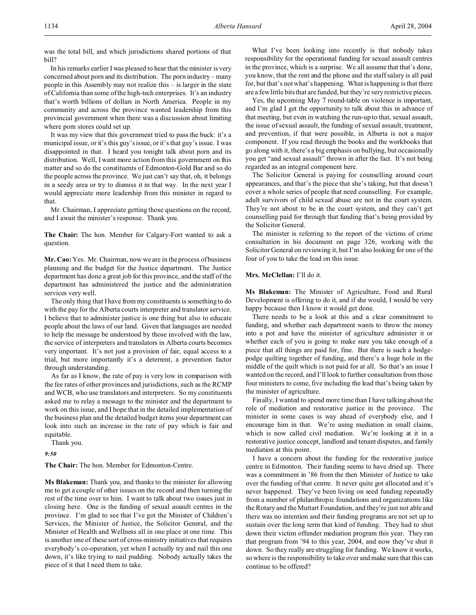In his remarks earlier I was pleased to hear that the minister is very concerned about porn and its distribution. The porn industry – many people in this Assembly may not realize this – is larger in the state of California than some of the high-tech enterprises. It's an industry that's worth billions of dollars in North America. People in my community and across the province wanted leadership from this provincial government when there was a discussion about limiting where porn stores could set up.

It was my view that this government tried to pass the buck: it's a municipal issue, or it's this guy's issue, or it's that guy's issue. I was disappointed in that. I heard you tonight talk about porn and its distribution. Well, I want more action from this government on this matter and so do the constituents of Edmonton-Gold Bar and so do the people across the province. We just can't say that, oh, it belongs in a seedy area or try to dismiss it in that way. In the next year I would appreciate more leadership from this minister in regard to that.

Mr. Chairman, I appreciate getting those questions on the record, and I await the minister's response. Thank you.

**The Chair:** The hon. Member for Calgary-Fort wanted to ask a question.

**Mr. Cao:** Yes. Mr. Chairman, now we are in the process of business planning and the budget for the Justice department. The Justice department has done a great job for this province, and the staff of the department has administered the justice and the administration services very well.

The only thing that I have from my constituents is something to do with the pay for the Alberta courts interpreter and translator service. I believe that to administer justice is one thing but also to educate people about the laws of our land. Given that languages are needed to help the message be understood by those involved with the law, the service of interpreters and translators in Alberta courts becomes very important. It's not just a provision of fair, equal access to a trial, but more importantly it's a deterrent, a prevention factor through understanding.

As far as I know, the rate of pay is very low in comparison with the fee rates of other provinces and jurisdictions, such as the RCMP and WCB, who use translators and interpreters. So my constituents asked me to relay a message to the minister and the department to work on this issue, and I hope that in the detailed implementation of the business plan and the detailed budget items your department can look into such an increase in the rate of pay which is fair and equitable.

Thank you.

*9:50*

**The Chair:** The hon. Member for Edmonton-Centre.

**Ms Blakeman:** Thank you, and thanks to the minister for allowing me to get a couple of other issues on the record and then turning the rest of the time over to him. I want to talk about two issues just in closing here. One is the funding of sexual assault centres in the province. I'm glad to see that I've got the Minister of Children's Services, the Minister of Justice, the Solicitor General, and the Minister of Health and Wellness all in one place at one time. This is another one of these sort of cross-ministry initiatives that requires everybody's co-operation, yet when I actually try and nail this one down, it's like trying to nail pudding. Nobody actually takes the piece of it that I need them to take.

What I've been looking into recently is that nobody takes responsibility for the operational funding for sexual assault centres in the province, which is a surprise. We all assume that that's done, you know, that the rent and the phone and the staff salary is all paid for, but that's not what's happening. What is happening is that there are a few little bits that are funded, but they're very restrictive pieces.

Yes, the upcoming May 7 round-table on violence is important, and I'm glad I get the opportunity to talk about this in advance of that meeting, but even in watching the run-up to that, sexual assault, the issue of sexual assault, the funding of sexual assault, treatment, and prevention, if that were possible, in Alberta is not a major component. If you read through the books and the workbooks that go along with it, there's a big emphasis on bullying, but occasionally you get "and sexual assault" thrown in after the fact. It's not being regarded as an integral component here.

The Solicitor General is paying for counselling around court appearances, and that's the piece that she's taking, but that doesn't cover a whole series of people that need counselling. For example, adult survivors of child sexual abuse are not in the court system. They're not about to be in the court system, and they can't get counselling paid for through that funding that's being provided by the Solicitor General.

The minister is referring to the report of the victims of crime consultation in his document on page 326, working with the Solicitor General on reviewing it, but I'm also looking for one of the four of you to take the lead on this issue.

### **Mrs. McClellan:** I'll do it.

**Ms Blakeman:** The Minister of Agriculture, Food and Rural Development is offering to do it, and if she would, I would be very happy because then I know it would get done.

There needs to be a look at this and a clear commitment to funding, and whether each department wants to throw the money into a pot and have the minister of agriculture administer it or whether each of you is going to make sure you take enough of a piece that all things are paid for, fine. But there is such a hodgepodge quilting together of funding, and there's a huge hole in the middle of the quilt which is not paid for at all. So that's an issue I wanted on the record, and I'll look to further consultation from those four ministers to come, five including the lead that's being taken by the minister of agriculture.

Finally, I wanted to spend more time than I have talking about the role of mediation and restorative justice in the province. The minister in some cases is way ahead of everybody else, and I encourage him in that. We're using mediation in small claims, which is now called civil mediation. We're looking at it in a restorative justice concept, landlord and tenant disputes, and family mediation at this point.

I have a concern about the funding for the restorative justice centre in Edmonton. Their funding seems to have dried up. There was a commitment in '86 from the then Minister of Justice to take over the funding of that centre. It never quite got allocated and it's never happened. They've been living on seed funding repeatedly from a number of philanthropic foundations and organizations like the Rotary and the Muttart Foundation, and they're just not able and there was no intention and their funding programs are not set up to sustain over the long term that kind of funding. They had to shut down their victim offender mediation program this year. They ran that program from '94 to this year, 2004, and now they've shut it down. So they really are struggling for funding. We know it works, so where is the responsibility to take over and make sure that this can continue to be offered?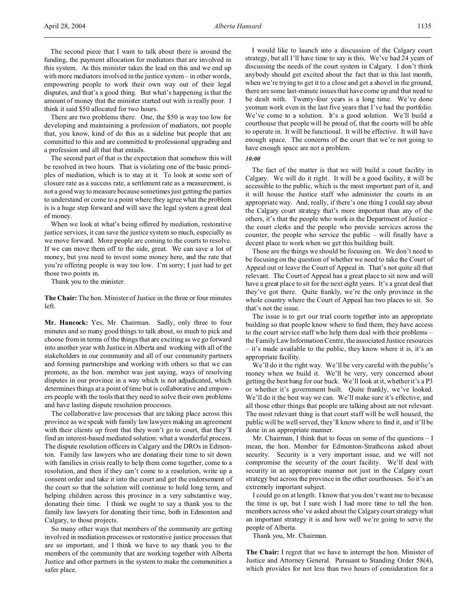April 28, 2004 *Alberta Hansard* 1135

The second piece that I want to talk about there is around the funding, the payment allocation for mediators that are involved in this system. As this minister takes the lead on this and we end up with more mediators involved in the justice system – in other words, empowering people to work their own way out of their legal disputes, and that's a good thing. But what's happening is that the amount of money that the minister started out with is really poor. I think it said \$50 allocated for two hours.

There are two problems there. One, the \$50 is way too low for developing and maintaining a profession of mediators, not people that, you know, kind of do this as a sideline but people that are committed to this and are committed to professional upgrading and a profession and all that that entails.

The second part of that is the expectation that somehow this will be resolved in two hours. That is violating one of the basic principles of mediation, which is to stay at it. To look at some sort of closure rate as a success rate, a settlement rate as a measurement, is not a good way to measure because sometimes just getting the parties to understand or come to a point where they agree what the problem is is a huge step forward and will save the legal system a great deal of money.

When we look at what's being offered by mediation, restorative justice services, it can save the justice system so much, especially as we move forward. More people are coming to the courts to resolve. If we can move them off to the side, great. We can save a lot of money, but you need to invest some money here, and the rate that you're offering people is way too low. I'm sorry; I just had to get those two points in.

Thank you to the minister.

**The Chair:** The hon. Minister of Justice in the three or four minutes left.

**Mr. Hancock:** Yes, Mr. Chairman. Sadly, only three to four minutes and so many good things to talk about, so much to pick and choose from in terms of the things that are exciting as we go forward into another year with Justice in Alberta and working with all of the stakeholders in our community and all of our community partners and forming partnerships and working with others so that we can promote, as the hon. member was just saying, ways of resolving disputes in our province in a way which is not adjudicated, which determines things at a point of time but is collaborative and empowers people with the tools that they need to solve their own problems and have lasting dispute resolution processes.

The collaborative law processes that are taking place across this province as we speak with family law lawyers making an agreement with their clients up front that they won't go to court, that they'll find an interest-based mediated solution: what a wonderful process. The dispute resolution officers in Calgary and the DROs in Edmonton. Family law lawyers who are donating their time to sit down with families in crisis really to help them come together, come to a resolution, and then if they can't come to a resolution, write up a consent order and take it into the court and get the endorsement of the court so that the solution will continue to hold long term, and helping children across this province in a very substantive way, donating their time. I think we ought to say a thank you to the family law lawyers for donating their time, both in Edmonton and Calgary, to those projects.

So many other ways that members of the community are getting involved in mediation processes or restorative justice processes that are so important, and I think we have to say thank you to the members of the community that are working together with Alberta Justice and other partners in the system to make the communities a safer place.

I would like to launch into a discussion of the Calgary court strategy, but all I'll have time to say is this. We've had 24 years of discussing the needs of the court system in Calgary. I don't think anybody should get excited about the fact that in this last month, when we're trying to get it to a close and get a shovel in the ground, there are some last-minute issues that have come up and that need to be dealt with. Twenty-four years is a long time. We've done yeoman work even in the last five years that I've had the portfolio. We've come to a solution. It's a good solution. We'll build a courthouse that people will be proud of, that the courts will be able to operate in. It will be functional. It will be effective. It will have enough space. The concerns of the court that we're not going to have enough space are not a problem.

*10:00*

The fact of the matter is that we will build a court facility in Calgary. We will do it right. It will be a good facility, it will be accessible to the public, which is the most important part of it, and it will house the Justice staff who administer the courts in an appropriate way. And, really, if there's one thing I could say about the Calgary court strategy that's more important than any of the others, it's that the people who work in the Department of Justice – the court clerks and the people who provide services across the counter, the people who service the public – will finally have a decent place to work when we get this building built.

Those are the things we should be focusing on. We don't need to be focusing on the question of whether we need to take the Court of Appeal out or leave the Court of Appeal in. That's not quite all that relevant. The Court of Appeal has a great place to sit now and will have a great place to sit for the next eight years. It's a great deal that they've got there. Quite frankly, we're the only province in the whole country where the Court of Appeal has two places to sit. So that's not the issue.

The issue is to get our trial courts together into an appropriate building so that people know where to find them, they have access to the court service staff who help them deal with their problems – the Family Law Information Centre, the associated Justice resources – it's made available to the public, they know where it is, it's an appropriate facility.

We'll do it the right way. We'll be very careful with the public's money when we build it. We'll be very, very concerned about getting the best bang for our buck. We'll look at it, whether it's a P3 or whether it's government built. Quite frankly, we've looked. We'll do it the best way we can. We'll make sure it's effective, and all those other things that people are talking about are not relevant. The most relevant thing is that court staff will be well housed, the public will be well served, they'll know where to find it, and it'll be done in an appropriate manner.

Mr. Chairman, I think that to focus on some of the questions  $-1$ mean, the hon. Member for Edmonton-Strathcona asked about security. Security is a very important issue, and we will not compromise the security of the court facility. We'll deal with security in an appropriate manner not just in the Calgary court strategy but across the province in the other courthouses. So it's an extremely important subject.

I could go on at length. I know that you don't want me to because the time is up, but I sure wish I had more time to tell the hon. members across who've asked about the Calgary court strategy what an important strategy it is and how well we're going to serve the people of Alberta.

Thank you, Mr. Chairman.

**The Chair:** I regret that we have to interrupt the hon. Minister of Justice and Attorney General. Pursuant to Standing Order 58(4), which provides for not less than two hours of consideration for a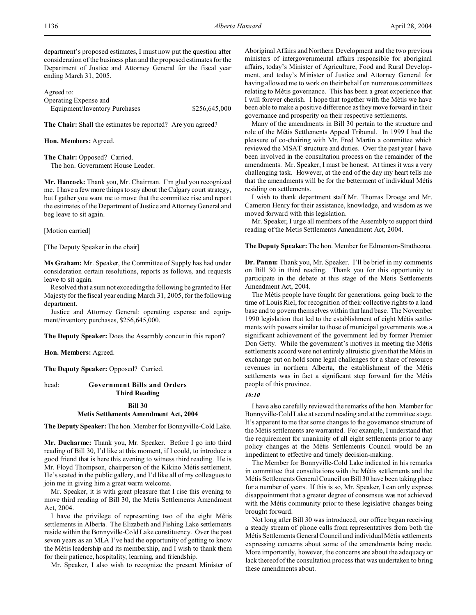department's proposed estimates, I must now put the question after consideration of the business plan and the proposed estimates for the Department of Justice and Attorney General for the fiscal year ending March 31, 2005.

| Agreed to:                    |               |
|-------------------------------|---------------|
| Operating Expense and         |               |
| Equipment/Inventory Purchases | \$256,645,000 |

**The Chair:** Shall the estimates be reported? Are you agreed?

## **Hon. Members:** Agreed.

**The Chair:** Opposed? Carried. The hon. Government House Leader.

**Mr. Hancock:** Thank you, Mr. Chairman. I'm glad you recognized me. I have a few more things to say about the Calgary court strategy, but I gather you want me to move that the committee rise and report the estimates of the Department of Justice and Attorney General and beg leave to sit again.

### [Motion carried]

[The Deputy Speaker in the chair]

**Ms Graham:** Mr. Speaker, the Committee of Supply has had under consideration certain resolutions, reports as follows, and requests leave to sit again.

Resolved that a sum not exceeding the following be granted to Her Majesty for the fiscal year ending March 31, 2005, for the following department.

Justice and Attorney General: operating expense and equipment/inventory purchases, \$256,645,000.

**The Deputy Speaker:** Does the Assembly concur in this report?

**Hon. Members:** Agreed.

**The Deputy Speaker:** Opposed? Carried.

# head: **Government Bills and Orders Third Reading**

### **Bill 30**

## **Metis Settlements Amendment Act, 2004**

**The Deputy Speaker:** The hon. Member for Bonnyville-Cold Lake.

**Mr. Ducharme:** Thank you, Mr. Speaker. Before I go into third reading of Bill 30, I'd like at this moment, if I could, to introduce a good friend that is here this evening to witness third reading. He is Mr. Floyd Thompson, chairperson of the Kikino Métis settlement. He's seated in the public gallery, and I'd like all of my colleagues to join me in giving him a great warm welcome.

Mr. Speaker, it is with great pleasure that I rise this evening to move third reading of Bill 30, the Metis Settlements Amendment Act, 2004.

I have the privilege of representing two of the eight Métis settlements in Alberta. The Elizabeth and Fishing Lake settlements reside within the Bonnyville-Cold Lake constituency. Over the past seven years as an MLA I've had the opportunity of getting to know the Métis leadership and its membership, and I wish to thank them for their patience, hospitality, learning, and friendship.

Mr. Speaker, I also wish to recognize the present Minister of

Aboriginal Affairs and Northern Development and the two previous ministers of intergovernmental affairs responsible for aboriginal affairs, today's Minister of Agriculture, Food and Rural Development, and today's Minister of Justice and Attorney General for having allowed me to work on their behalf on numerous committees relating to Métis governance. This has been a great experience that I will forever cherish. I hope that together with the Métis we have been able to make a positive difference as they move forward in their governance and prosperity on their respective settlements.

Many of the amendments in Bill 30 pertain to the structure and role of the Métis Settlements Appeal Tribunal. In 1999 I had the pleasure of co-chairing with Mr. Fred Martin a committee which reviewed the MSAT structure and duties. Over the past year I have been involved in the consultation process on the remainder of the amendments. Mr. Speaker, I must be honest. At times it was a very challenging task. However, at the end of the day my heart tells me that the amendments will be for the betterment of individual Métis residing on settlements.

I wish to thank department staff Mr. Thomas Droege and Mr. Cameron Henry for their assistance, knowledge, and wisdom as we moved forward with this legislation.

Mr. Speaker, I urge all members of the Assembly to support third reading of the Metis Settlements Amendment Act, 2004.

### **The Deputy Speaker:** The hon. Member for Edmonton-Strathcona.

**Dr. Pannu:** Thank you, Mr. Speaker. I'll be brief in my comments on Bill 30 in third reading. Thank you for this opportunity to participate in the debate at this stage of the Metis Settlements Amendment Act, 2004.

The Métis people have fought for generations, going back to the time of Louis Riel, for recognition of their collective rights to a land base and to govern themselves within that land base. The November 1990 legislation that led to the establishment of eight Métis settlements with powers similar to those of municipal governments was a significant achievement of the government led by former Premier Don Getty. While the government's motives in meeting the Métis settlements accord were not entirely altruistic given that the Métis in exchange put on hold some legal challenges for a share of resource revenues in northern Alberta, the establishment of the Métis settlements was in fact a significant step forward for the Métis people of this province.

### *10:10*

I have also carefully reviewed the remarks of the hon. Member for Bonnyville-Cold Lake at second reading and at the committee stage. It's apparent to me that some changes to the governance structure of the Métis settlements are warranted. For example, I understand that the requirement for unanimity of all eight settlements prior to any policy changes at the Métis Settlements Council would be an impediment to effective and timely decision-making.

The Member for Bonnyville-Cold Lake indicated in his remarks in committee that consultations with the Métis settlements and the Métis Settlements General Council on Bill 30 have been taking place for a number of years. If this is so, Mr. Speaker, I can only express disappointment that a greater degree of consensus was not achieved with the Métis community prior to these legislative changes being brought forward.

Not long after Bill 30 was introduced, our office began receiving a steady stream of phone calls from representatives from both the Métis Settlements General Council and individual Métis settlements expressing concerns about some of the amendments being made. More importantly, however, the concerns are about the adequacy or lack thereof of the consultation process that was undertaken to bring these amendments about.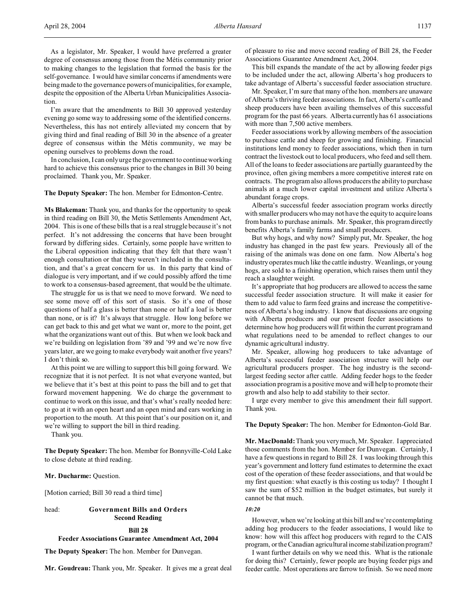As a legislator, Mr. Speaker, I would have preferred a greater degree of consensus among those from the Métis community prior to making changes to the legislation that formed the basis for the self-governance. I would have similar concerns if amendments were being made to the governance powers of municipalities, for example, despite the opposition of the Alberta Urban Municipalities Association.

I'm aware that the amendments to Bill 30 approved yesterday evening go some way to addressing some of the identified concerns. Nevertheless, this has not entirely alleviated my concern that by giving third and final reading of Bill 30 in the absence of a greater degree of consensus within the Métis community, we may be opening ourselves to problems down the road.

In conclusion, I can only urge the government to continue working hard to achieve this consensus prior to the changes in Bill 30 being proclaimed. Thank you, Mr. Speaker.

**The Deputy Speaker:** The hon. Member for Edmonton-Centre.

**Ms Blakeman:** Thank you, and thanks for the opportunity to speak in third reading on Bill 30, the Metis Settlements Amendment Act, 2004. This is one of these bills that is a real struggle because it's not perfect. It's not addressing the concerns that have been brought forward by differing sides. Certainly, some people have written to the Liberal opposition indicating that they felt that there wasn't enough consultation or that they weren't included in the consultation, and that's a great concern for us. In this party that kind of dialogue is very important, and if we could possibly afford the time to work to a consensus-based agreement, that would be the ultimate.

The struggle for us is that we need to move forward. We need to see some move off of this sort of stasis. So it's one of those questions of half a glass is better than none or half a loaf is better than none, or is it? It's always that struggle. How long before we can get back to this and get what we want or, more to the point, get what the organizations want out of this. But when we look back and we're building on legislation from '89 and '99 and we're now five years later, are we going to make everybody wait another five years? I don't think so.

At this point we are willing to support this bill going forward. We recognize that it is not perfect. It is not what everyone wanted, but we believe that it's best at this point to pass the bill and to get that forward movement happening. We do charge the government to continue to work on this issue, and that's what's really needed here: to go at it with an open heart and an open mind and ears working in proportion to the mouth. At this point that's our position on it, and we're willing to support the bill in third reading.

Thank you.

**The Deputy Speaker:** The hon. Member for Bonnyville-Cold Lake to close debate at third reading.

**Mr. Ducharme:** Question.

[Motion carried; Bill 30 read a third time]

# head: **Government Bills and Orders Second Reading**

# **Bill 28**

# **Feeder Associations Guarantee Amendment Act, 2004**

**The Deputy Speaker:** The hon. Member for Dunvegan.

**Mr. Goudreau:** Thank you, Mr. Speaker. It gives me a great deal

of pleasure to rise and move second reading of Bill 28, the Feeder Associations Guarantee Amendment Act, 2004.

This bill expands the mandate of the act by allowing feeder pigs to be included under the act, allowing Alberta's hog producers to take advantage of Alberta's successful feeder association structure.

Mr. Speaker, I'm sure that many of the hon. members are unaware of Alberta's thriving feeder associations. In fact, Alberta's cattle and sheep producers have been availing themselves of this successful program for the past 66 years. Alberta currently has 61 associations with more than 7,500 active members.

Feeder associations work by allowing members of the association to purchase cattle and sheep for growing and finishing. Financial institutions lend money to feeder associations, which then in turn contract the livestock out to local producers, who feed and sell them. All of the loans to feeder associations are partially guaranteed by the province, often giving members a more competitive interest rate on contracts. The program also allows producers the ability to purchase animals at a much lower capital investment and utilize Alberta's abundant forage crops.

Alberta's successful feeder association program works directly with smaller producers who may not have the equity to acquire loans from banks to purchase animals. Mr. Speaker, this program directly benefits Alberta's family farms and small producers.

But why hogs, and why now? Simply put, Mr. Speaker, the hog industry has changed in the past few years. Previously all of the raising of the animals was done on one farm. Now Alberta's hog industry operates much like the cattle industry. Weanlings, or young hogs, are sold to a finishing operation, which raises them until they reach a slaughter weight.

It's appropriate that hog producers are allowed to access the same successful feeder association structure. It will make it easier for them to add value to farm feed grains and increase the competitiveness of Alberta's hog industry. I know that discussions are ongoing with Alberta producers and our present feeder associations to determine how hog producers will fit within the current program and what regulations need to be amended to reflect changes to our dynamic agricultural industry.

Mr. Speaker, allowing hog producers to take advantage of Alberta's successful feeder association structure will help our agricultural producers prosper. The hog industry is the secondlargest feeding sector after cattle. Adding feeder hogs to the feeder association program is a positive move and will help to promote their growth and also help to add stability to their sector.

I urge every member to give this amendment their full support. Thank you.

## **The Deputy Speaker:** The hon. Member for Edmonton-Gold Bar.

**Mr. MacDonald:** Thank you very much, Mr. Speaker. I appreciated those comments from the hon. Member for Dunvegan. Certainly, I have a few questions in regard to Bill 28. I was looking through this year's government and lottery fund estimates to determine the exact cost of the operation of these feeder associations, and that would be my first question: what exactly is this costing us today? I thought I saw the sum of \$52 million in the budget estimates, but surely it cannot be that much.

### *10:20*

However, when we're looking at this bill and we're contemplating adding hog producers to the feeder associations, I would like to know: how will this affect hog producers with regard to the CAIS program, or the Canadian agricultural income stabilization program?

I want further details on why we need this. What is the rationale for doing this? Certainly, fewer people are buying feeder pigs and feeder cattle. Most operations are farrow to finish. So we need more